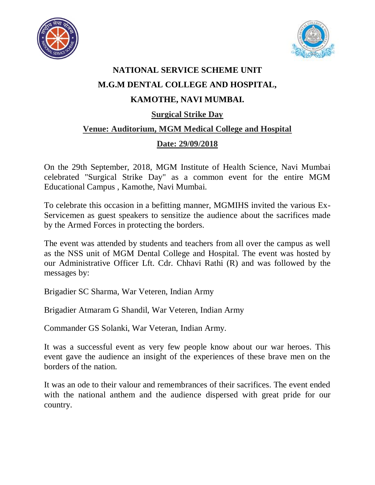



## **NATIONAL SERVICE SCHEME UNIT M.G.M DENTAL COLLEGE AND HOSPITAL, KAMOTHE, NAVI MUMBAI. Surgical Strike Day Venue: Auditorium, MGM Medical College and Hospital Date: 29/09/2018**

On the 29th September, 2018, MGM Institute of Health Science, Navi Mumbai celebrated "Surgical Strike Day" as a common event for the entire MGM Educational Campus , Kamothe, Navi Mumbai.

To celebrate this occasion in a befitting manner, MGMIHS invited the various Ex-Servicemen as guest speakers to sensitize the audience about the sacrifices made by the Armed Forces in protecting the borders.

The event was attended by students and teachers from all over the campus as well as the NSS unit of MGM Dental College and Hospital. The event was hosted by our Administrative Officer Lft. Cdr. Chhavi Rathi (R) and was followed by the messages by:

Brigadier SC Sharma, War Veteren, Indian Army

Brigadier Atmaram G Shandil, War Veteren, Indian Army

Commander GS Solanki, War Veteran, Indian Army.

It was a successful event as very few people know about our war heroes. This event gave the audience an insight of the experiences of these brave men on the borders of the nation.

It was an ode to their valour and remembrances of their sacrifices. The event ended with the national anthem and the audience dispersed with great pride for our country.